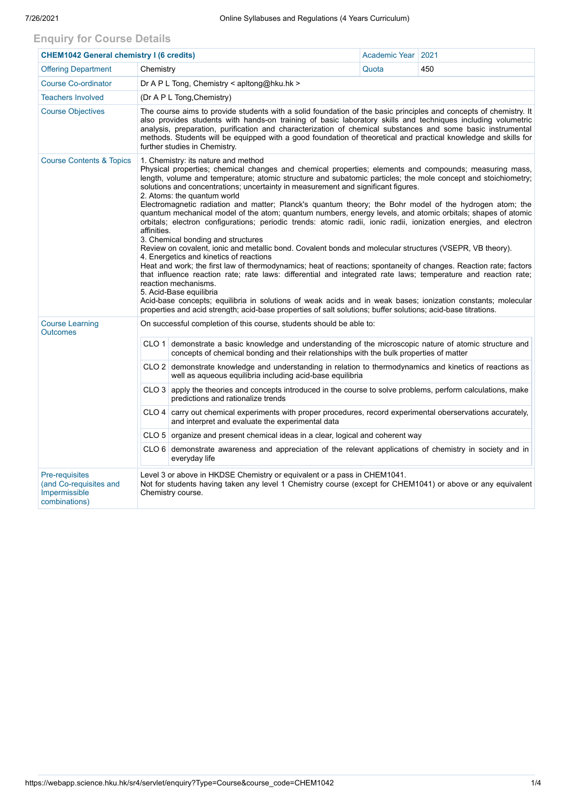## **Enquiry for Course Details**

| <b>CHEM1042 General chemistry I (6 credits)</b>                                   |                                                                                                                                                                                                                                                                                                                                                                                                                                                                                                                                                                                                                                                                                                                                                                                                                                                                                                                                                                                                                                                                                                                                                                                                                                                                                                                                                                                                                                                                         | Academic Year   2021                                                                                                                                                                                |       |     |  |  |
|-----------------------------------------------------------------------------------|-------------------------------------------------------------------------------------------------------------------------------------------------------------------------------------------------------------------------------------------------------------------------------------------------------------------------------------------------------------------------------------------------------------------------------------------------------------------------------------------------------------------------------------------------------------------------------------------------------------------------------------------------------------------------------------------------------------------------------------------------------------------------------------------------------------------------------------------------------------------------------------------------------------------------------------------------------------------------------------------------------------------------------------------------------------------------------------------------------------------------------------------------------------------------------------------------------------------------------------------------------------------------------------------------------------------------------------------------------------------------------------------------------------------------------------------------------------------------|-----------------------------------------------------------------------------------------------------------------------------------------------------------------------------------------------------|-------|-----|--|--|
| <b>Offering Department</b>                                                        | Chemistry                                                                                                                                                                                                                                                                                                                                                                                                                                                                                                                                                                                                                                                                                                                                                                                                                                                                                                                                                                                                                                                                                                                                                                                                                                                                                                                                                                                                                                                               |                                                                                                                                                                                                     | Quota | 450 |  |  |
| <b>Course Co-ordinator</b>                                                        | Dr A P L Tong, Chemistry < apitong@hku.hk >                                                                                                                                                                                                                                                                                                                                                                                                                                                                                                                                                                                                                                                                                                                                                                                                                                                                                                                                                                                                                                                                                                                                                                                                                                                                                                                                                                                                                             |                                                                                                                                                                                                     |       |     |  |  |
| <b>Teachers Involved</b>                                                          | (Dr A P L Tong, Chemistry)                                                                                                                                                                                                                                                                                                                                                                                                                                                                                                                                                                                                                                                                                                                                                                                                                                                                                                                                                                                                                                                                                                                                                                                                                                                                                                                                                                                                                                              |                                                                                                                                                                                                     |       |     |  |  |
| <b>Course Objectives</b>                                                          | The course aims to provide students with a solid foundation of the basic principles and concepts of chemistry. It<br>also provides students with hands-on training of basic laboratory skills and techniques including volumetric<br>analysis, preparation, purification and characterization of chemical substances and some basic instrumental<br>methods. Students will be equipped with a good foundation of theoretical and practical knowledge and skills for<br>further studies in Chemistry.                                                                                                                                                                                                                                                                                                                                                                                                                                                                                                                                                                                                                                                                                                                                                                                                                                                                                                                                                                    |                                                                                                                                                                                                     |       |     |  |  |
| <b>Course Contents &amp; Topics</b>                                               | 1. Chemistry: its nature and method<br>Physical properties; chemical changes and chemical properties; elements and compounds; measuring mass,<br>length, volume and temperature; atomic structure and subatomic particles; the mole concept and stoichiometry;<br>solutions and concentrations; uncertainty in measurement and significant figures.<br>2. Atoms: the quantum world<br>Electromagnetic radiation and matter; Planck's quantum theory; the Bohr model of the hydrogen atom; the<br>quantum mechanical model of the atom; quantum numbers, energy levels, and atomic orbitals; shapes of atomic<br>orbitals; electron configurations; periodic trends: atomic radii, ionic radii, ionization energies, and electron<br>affinities.<br>3. Chemical bonding and structures<br>Review on covalent, ionic and metallic bond. Covalent bonds and molecular structures (VSEPR, VB theory).<br>4. Energetics and kinetics of reactions<br>Heat and work; the first law of thermodynamics; heat of reactions; spontaneity of changes. Reaction rate; factors<br>that influence reaction rate; rate laws: differential and integrated rate laws; temperature and reaction rate;<br>reaction mechanisms.<br>5. Acid-Base equilibria<br>Acid-base concepts; equilibria in solutions of weak acids and in weak bases; ionization constants; molecular<br>properties and acid strength; acid-base properties of salt solutions; buffer solutions; acid-base titrations. |                                                                                                                                                                                                     |       |     |  |  |
| <b>Course Learning</b><br><b>Outcomes</b>                                         | On successful completion of this course, students should be able to:                                                                                                                                                                                                                                                                                                                                                                                                                                                                                                                                                                                                                                                                                                                                                                                                                                                                                                                                                                                                                                                                                                                                                                                                                                                                                                                                                                                                    |                                                                                                                                                                                                     |       |     |  |  |
|                                                                                   |                                                                                                                                                                                                                                                                                                                                                                                                                                                                                                                                                                                                                                                                                                                                                                                                                                                                                                                                                                                                                                                                                                                                                                                                                                                                                                                                                                                                                                                                         | $CLO1$ demonstrate a basic knowledge and understanding of the microscopic nature of atomic structure and<br>concepts of chemical bonding and their relationships with the bulk properties of matter |       |     |  |  |
|                                                                                   |                                                                                                                                                                                                                                                                                                                                                                                                                                                                                                                                                                                                                                                                                                                                                                                                                                                                                                                                                                                                                                                                                                                                                                                                                                                                                                                                                                                                                                                                         | CLO 2 demonstrate knowledge and understanding in relation to thermodynamics and kinetics of reactions as<br>well as aqueous equilibria including acid-base equilibria                               |       |     |  |  |
|                                                                                   |                                                                                                                                                                                                                                                                                                                                                                                                                                                                                                                                                                                                                                                                                                                                                                                                                                                                                                                                                                                                                                                                                                                                                                                                                                                                                                                                                                                                                                                                         | CLO 3 apply the theories and concepts introduced in the course to solve problems, perform calculations, make<br>predictions and rationalize trends                                                  |       |     |  |  |
|                                                                                   |                                                                                                                                                                                                                                                                                                                                                                                                                                                                                                                                                                                                                                                                                                                                                                                                                                                                                                                                                                                                                                                                                                                                                                                                                                                                                                                                                                                                                                                                         | $CLO$ 4 $\vert$ carry out chemical experiments with proper procedures, record experimental oberservations accurately,<br>and interpret and evaluate the experimental data                           |       |     |  |  |
|                                                                                   |                                                                                                                                                                                                                                                                                                                                                                                                                                                                                                                                                                                                                                                                                                                                                                                                                                                                                                                                                                                                                                                                                                                                                                                                                                                                                                                                                                                                                                                                         | CLO 5 organize and present chemical ideas in a clear, logical and coherent way                                                                                                                      |       |     |  |  |
|                                                                                   |                                                                                                                                                                                                                                                                                                                                                                                                                                                                                                                                                                                                                                                                                                                                                                                                                                                                                                                                                                                                                                                                                                                                                                                                                                                                                                                                                                                                                                                                         | CLO $6$ demonstrate awareness and appreciation of the relevant applications of chemistry in society and in<br>everyday life                                                                         |       |     |  |  |
| <b>Pre-requisites</b><br>(and Co-requisites and<br>Impermissible<br>combinations) | Level 3 or above in HKDSE Chemistry or equivalent or a pass in CHEM1041.<br>Not for students having taken any level 1 Chemistry course (except for CHEM1041) or above or any equivalent<br>Chemistry course.                                                                                                                                                                                                                                                                                                                                                                                                                                                                                                                                                                                                                                                                                                                                                                                                                                                                                                                                                                                                                                                                                                                                                                                                                                                            |                                                                                                                                                                                                     |       |     |  |  |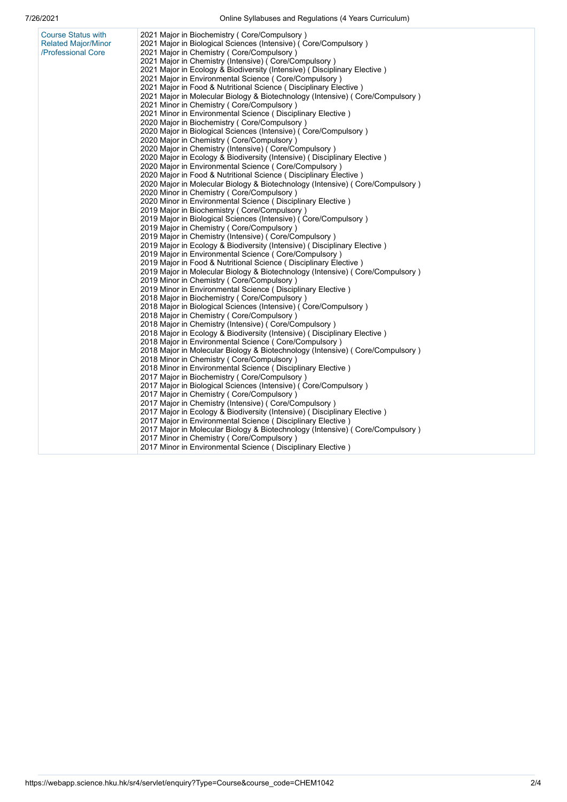| <b>Course Status with</b><br><b>Related Major/Minor</b> | 2021 Major in Biochemistry (Core/Compulsory)<br>2021 Major in Biological Sciences (Intensive) (Core/Compulsory)                   |
|---------------------------------------------------------|-----------------------------------------------------------------------------------------------------------------------------------|
| /Professional Core                                      | 2021 Major in Chemistry (Core/Compulsory)                                                                                         |
|                                                         | 2021 Major in Chemistry (Intensive) ( Core/Compulsory )                                                                           |
|                                                         | 2021 Major in Ecology & Biodiversity (Intensive) (Disciplinary Elective)<br>2021 Major in Environmental Science (Core/Compulsory) |
|                                                         | 2021 Major in Food & Nutritional Science (Disciplinary Elective)                                                                  |
|                                                         | 2021 Major in Molecular Biology & Biotechnology (Intensive) (Core/Compulsory)                                                     |
|                                                         | 2021 Minor in Chemistry (Core/Compulsory)                                                                                         |
|                                                         | 2021 Minor in Environmental Science (Disciplinary Elective)                                                                       |
|                                                         | 2020 Major in Biochemistry (Core/Compulsory)                                                                                      |
|                                                         | 2020 Major in Biological Sciences (Intensive) (Core/Compulsory)                                                                   |
|                                                         | 2020 Major in Chemistry (Core/Compulsory)                                                                                         |
|                                                         | 2020 Major in Chemistry (Intensive) ( Core/Compulsory )                                                                           |
|                                                         | 2020 Major in Ecology & Biodiversity (Intensive) ( Disciplinary Elective )                                                        |
|                                                         | 2020 Major in Environmental Science (Core/Compulsory)                                                                             |
|                                                         | 2020 Major in Food & Nutritional Science (Disciplinary Elective)                                                                  |
|                                                         | 2020 Major in Molecular Biology & Biotechnology (Intensive) (Core/Compulsory)                                                     |
|                                                         | 2020 Minor in Chemistry (Core/Compulsory)                                                                                         |
|                                                         | 2020 Minor in Environmental Science (Disciplinary Elective)                                                                       |
|                                                         | 2019 Major in Biochemistry (Core/Compulsory)                                                                                      |
|                                                         | 2019 Major in Biological Sciences (Intensive) (Core/Compulsory)<br>2019 Major in Chemistry (Core/Compulsory)                      |
|                                                         | 2019 Major in Chemistry (Intensive) (Core/Compulsory)                                                                             |
|                                                         | 2019 Major in Ecology & Biodiversity (Intensive) ( Disciplinary Elective )                                                        |
|                                                         | 2019 Major in Environmental Science (Core/Compulsory)                                                                             |
|                                                         | 2019 Major in Food & Nutritional Science (Disciplinary Elective)                                                                  |
|                                                         | 2019 Major in Molecular Biology & Biotechnology (Intensive) (Core/Compulsory)                                                     |
|                                                         | 2019 Minor in Chemistry (Core/Compulsory)                                                                                         |
|                                                         | 2019 Minor in Environmental Science (Disciplinary Elective)                                                                       |
|                                                         | 2018 Major in Biochemistry (Core/Compulsory)                                                                                      |
|                                                         | 2018 Major in Biological Sciences (Intensive) (Core/Compulsory)                                                                   |
|                                                         | 2018 Major in Chemistry (Core/Compulsory)                                                                                         |
|                                                         | 2018 Major in Chemistry (Intensive) (Core/Compulsory)                                                                             |
|                                                         | 2018 Major in Ecology & Biodiversity (Intensive) ( Disciplinary Elective )                                                        |
|                                                         | 2018 Major in Environmental Science (Core/Compulsory)                                                                             |
|                                                         | 2018 Major in Molecular Biology & Biotechnology (Intensive) (Core/Compulsory)                                                     |
|                                                         | 2018 Minor in Chemistry (Core/Compulsory)                                                                                         |
|                                                         | 2018 Minor in Environmental Science (Disciplinary Elective)                                                                       |
|                                                         | 2017 Major in Biochemistry (Core/Compulsory)<br>2017 Major in Biological Sciences (Intensive) ( Core/Compulsory )                 |
|                                                         | 2017 Major in Chemistry (Core/Compulsory)                                                                                         |
|                                                         | 2017 Major in Chemistry (Intensive) (Core/Compulsory)                                                                             |
|                                                         | 2017 Major in Ecology & Biodiversity (Intensive) (Disciplinary Elective)                                                          |
|                                                         | 2017 Major in Environmental Science (Disciplinary Elective)                                                                       |
|                                                         | 2017 Major in Molecular Biology & Biotechnology (Intensive) (Core/Compulsory)                                                     |
|                                                         | 2017 Minor in Chemistry (Core/Compulsory)                                                                                         |
|                                                         | 2017 Minor in Environmental Science (Disciplinary Elective)                                                                       |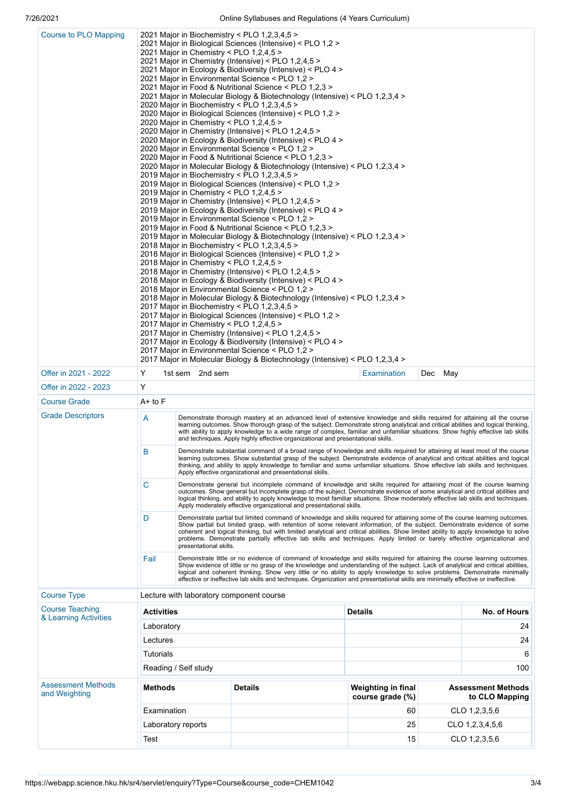| <b>Course to PLO Mapping</b>               | 2021 Major in Biochemistry < PLO 1,2,3,4,5 ><br>2021 Major in Biological Sciences (Intensive) < PLO 1,2 ><br>2021 Major in Chemistry < PLO 1,2,4,5 ><br>2021 Major in Chemistry (Intensive) < PLO 1,2,4,5 ><br>2021 Major in Ecology & Biodiversity (Intensive) < PLO 4 ><br>2021 Major in Environmental Science < PLO 1,2 ><br>2021 Major in Food & Nutritional Science < PLO 1,2,3 ><br>2021 Major in Molecular Biology & Biotechnology (Intensive) < PLO 1,2,3,4 ><br>2020 Major in Biochemistry < PLO 1,2,3,4,5 ><br>2020 Major in Biological Sciences (Intensive) < PLO 1,2 ><br>2020 Major in Chemistry < PLO 1,2,4,5 ><br>2020 Major in Chemistry (Intensive) < PLO 1,2,4,5 ><br>2020 Major in Ecology & Biodiversity (Intensive) < PLO 4 ><br>2020 Major in Environmental Science < PLO 1,2 ><br>2020 Major in Food & Nutritional Science < PLO 1,2,3 ><br>2020 Major in Molecular Biology & Biotechnology (Intensive) < PLO 1,2,3,4 ><br>2019 Major in Biochemistry < PLO 1,2,3,4,5 ><br>2019 Major in Biological Sciences (Intensive) < PLO 1,2 ><br>2019 Major in Chemistry < PLO 1,2,4,5 ><br>2019 Major in Chemistry (Intensive) < PLO 1,2,4,5 ><br>2019 Major in Ecology & Biodiversity (Intensive) < PLO 4 ><br>2019 Major in Environmental Science < PLO 1,2 ><br>2019 Major in Food & Nutritional Science < PLO 1,2,3 ><br>2019 Major in Molecular Biology & Biotechnology (Intensive) < PLO 1,2,3,4 ><br>2018 Major in Biochemistry < PLO 1,2,3,4,5 ><br>2018 Major in Biological Sciences (Intensive) < PLO 1,2 ><br>2018 Major in Chemistry < PLO 1,2,4,5 ><br>2018 Major in Chemistry (Intensive) < PLO $1,2,4,5$ ><br>2018 Major in Ecology & Biodiversity (Intensive) < PLO 4 ><br>2018 Major in Environmental Science < PLO 1,2 ><br>2018 Major in Molecular Biology & Biotechnology (Intensive) < PLO 1,2,3,4 ><br>2017 Major in Biochemistry < PLO 1,2,3,4,5 ><br>2017 Major in Biological Sciences (Intensive) < PLO 1,2 ><br>2017 Major in Chemistry < PLO 1,2,4,5 ><br>2017 Major in Chemistry (Intensive) < PLO 1,2,4,5 ><br>2017 Major in Ecology & Biodiversity (Intensive) < PLO 4 ><br>2017 Major in Environmental Science < PLO 1,2 ><br>2017 Major in Molecular Biology & Biotechnology (Intensive) < PLO 1,2,3,4 > |                                                                                                                                                                                                                                                                                                                                                                                                                                                                                                                                                         |                                          |                                        |                                  |                           |  |
|--------------------------------------------|---------------------------------------------------------------------------------------------------------------------------------------------------------------------------------------------------------------------------------------------------------------------------------------------------------------------------------------------------------------------------------------------------------------------------------------------------------------------------------------------------------------------------------------------------------------------------------------------------------------------------------------------------------------------------------------------------------------------------------------------------------------------------------------------------------------------------------------------------------------------------------------------------------------------------------------------------------------------------------------------------------------------------------------------------------------------------------------------------------------------------------------------------------------------------------------------------------------------------------------------------------------------------------------------------------------------------------------------------------------------------------------------------------------------------------------------------------------------------------------------------------------------------------------------------------------------------------------------------------------------------------------------------------------------------------------------------------------------------------------------------------------------------------------------------------------------------------------------------------------------------------------------------------------------------------------------------------------------------------------------------------------------------------------------------------------------------------------------------------------------------------------------------------------------------------------------------------------------------------------------------------|---------------------------------------------------------------------------------------------------------------------------------------------------------------------------------------------------------------------------------------------------------------------------------------------------------------------------------------------------------------------------------------------------------------------------------------------------------------------------------------------------------------------------------------------------------|------------------------------------------|----------------------------------------|----------------------------------|---------------------------|--|
| Offer in 2021 - 2022                       | Y                                                                                                                                                                                                                                                                                                                                                                                                                                                                                                                                                                                                                                                                                                                                                                                                                                                                                                                                                                                                                                                                                                                                                                                                                                                                                                                                                                                                                                                                                                                                                                                                                                                                                                                                                                                                                                                                                                                                                                                                                                                                                                                                                                                                                                                       | 1st sem 2nd sem                                                                                                                                                                                                                                                                                                                                                                                                                                                                                                                                         |                                          | Examination                            | Dec May                          |                           |  |
| Offer in 2022 - 2023                       | Y                                                                                                                                                                                                                                                                                                                                                                                                                                                                                                                                                                                                                                                                                                                                                                                                                                                                                                                                                                                                                                                                                                                                                                                                                                                                                                                                                                                                                                                                                                                                                                                                                                                                                                                                                                                                                                                                                                                                                                                                                                                                                                                                                                                                                                                       |                                                                                                                                                                                                                                                                                                                                                                                                                                                                                                                                                         |                                          |                                        |                                  |                           |  |
| <b>Course Grade</b>                        | A+ to F                                                                                                                                                                                                                                                                                                                                                                                                                                                                                                                                                                                                                                                                                                                                                                                                                                                                                                                                                                                                                                                                                                                                                                                                                                                                                                                                                                                                                                                                                                                                                                                                                                                                                                                                                                                                                                                                                                                                                                                                                                                                                                                                                                                                                                                 |                                                                                                                                                                                                                                                                                                                                                                                                                                                                                                                                                         |                                          |                                        |                                  |                           |  |
| <b>Grade Descriptors</b>                   | А                                                                                                                                                                                                                                                                                                                                                                                                                                                                                                                                                                                                                                                                                                                                                                                                                                                                                                                                                                                                                                                                                                                                                                                                                                                                                                                                                                                                                                                                                                                                                                                                                                                                                                                                                                                                                                                                                                                                                                                                                                                                                                                                                                                                                                                       | Demonstrate thorough mastery at an advanced level of extensive knowledge and skills required for attaining all the course<br>learning outcomes. Show thorough grasp of the subject. Demonstrate strong analytical and critical abilities and logical thinking,<br>with ability to apply knowledge to a wide range of complex, familiar and unfamiliar situations. Show highly effective lab skills<br>and techniques. Apply highly effective organizational and presentational skills.                                                                  |                                          |                                        |                                  |                           |  |
|                                            | B                                                                                                                                                                                                                                                                                                                                                                                                                                                                                                                                                                                                                                                                                                                                                                                                                                                                                                                                                                                                                                                                                                                                                                                                                                                                                                                                                                                                                                                                                                                                                                                                                                                                                                                                                                                                                                                                                                                                                                                                                                                                                                                                                                                                                                                       | Demonstrate substantial command of a broad range of knowledge and skills required for attaining at least most of the course<br>learning outcomes. Show substantial grasp of the subject. Demonstrate evidence of analytical and critical abilities and logical<br>thinking, and ability to apply knowledge to familiar and some unfamiliar situations. Show effective lab skills and techniques.<br>Apply effective organizational and presentational skills.                                                                                           |                                          |                                        |                                  |                           |  |
|                                            | $\mathsf{C}$                                                                                                                                                                                                                                                                                                                                                                                                                                                                                                                                                                                                                                                                                                                                                                                                                                                                                                                                                                                                                                                                                                                                                                                                                                                                                                                                                                                                                                                                                                                                                                                                                                                                                                                                                                                                                                                                                                                                                                                                                                                                                                                                                                                                                                            | Demonstrate general but incomplete command of knowledge and skills required for attaining most of the course learning<br>outcomes. Show general but incomplete grasp of the subject. Demonstrate evidence of some analytical and critical abilities and<br>logical thinking, and ability to apply knowledge to most familiar situations. Show moderately effective lab skills and techniques.<br>Apply moderately effective organizational and presentational skills.                                                                                   |                                          |                                        |                                  |                           |  |
|                                            | D                                                                                                                                                                                                                                                                                                                                                                                                                                                                                                                                                                                                                                                                                                                                                                                                                                                                                                                                                                                                                                                                                                                                                                                                                                                                                                                                                                                                                                                                                                                                                                                                                                                                                                                                                                                                                                                                                                                                                                                                                                                                                                                                                                                                                                                       | Demonstrate partial but limited command of knowledge and skills required for attaining some of the course learning outcomes.<br>Show partial but limited grasp, with retention of some relevant information, of the subject. Demonstrate evidence of some<br>coherent and logical thinking, but with limited analytical and critical abilities. Show limited ability to apply knowledge to solve<br>problems. Demonstrate partially effective lab skills and techniques. Apply limited or barely effective organizational and<br>presentational skills. |                                          |                                        |                                  |                           |  |
|                                            | Demonstrate little or no evidence of command of knowledge and skills required for attaining the course learning outcomes.<br>Fail<br>Show evidence of little or no grasp of the knowledge and understanding of the subject. Lack of analytical and critical abilities,<br>logical and coherent thinking. Show very little or no ability to apply knowledge to solve problems. Demonstrate minimally<br>effective or ineffective lab skills and techniques. Organization and presentational skills are minimally effective or ineffective.                                                                                                                                                                                                                                                                                                                                                                                                                                                                                                                                                                                                                                                                                                                                                                                                                                                                                                                                                                                                                                                                                                                                                                                                                                                                                                                                                                                                                                                                                                                                                                                                                                                                                                               |                                                                                                                                                                                                                                                                                                                                                                                                                                                                                                                                                         |                                          |                                        |                                  |                           |  |
| <b>Course Type</b>                         |                                                                                                                                                                                                                                                                                                                                                                                                                                                                                                                                                                                                                                                                                                                                                                                                                                                                                                                                                                                                                                                                                                                                                                                                                                                                                                                                                                                                                                                                                                                                                                                                                                                                                                                                                                                                                                                                                                                                                                                                                                                                                                                                                                                                                                                         |                                                                                                                                                                                                                                                                                                                                                                                                                                                                                                                                                         | Lecture with laboratory component course |                                        |                                  |                           |  |
| <b>Course Teaching</b>                     | <b>Activities</b>                                                                                                                                                                                                                                                                                                                                                                                                                                                                                                                                                                                                                                                                                                                                                                                                                                                                                                                                                                                                                                                                                                                                                                                                                                                                                                                                                                                                                                                                                                                                                                                                                                                                                                                                                                                                                                                                                                                                                                                                                                                                                                                                                                                                                                       |                                                                                                                                                                                                                                                                                                                                                                                                                                                                                                                                                         |                                          | <b>Details</b>                         |                                  | No. of Hours              |  |
| & Learning Activities                      | Laboratory                                                                                                                                                                                                                                                                                                                                                                                                                                                                                                                                                                                                                                                                                                                                                                                                                                                                                                                                                                                                                                                                                                                                                                                                                                                                                                                                                                                                                                                                                                                                                                                                                                                                                                                                                                                                                                                                                                                                                                                                                                                                                                                                                                                                                                              |                                                                                                                                                                                                                                                                                                                                                                                                                                                                                                                                                         |                                          |                                        |                                  | 24                        |  |
|                                            | Lectures                                                                                                                                                                                                                                                                                                                                                                                                                                                                                                                                                                                                                                                                                                                                                                                                                                                                                                                                                                                                                                                                                                                                                                                                                                                                                                                                                                                                                                                                                                                                                                                                                                                                                                                                                                                                                                                                                                                                                                                                                                                                                                                                                                                                                                                |                                                                                                                                                                                                                                                                                                                                                                                                                                                                                                                                                         |                                          |                                        |                                  | 24                        |  |
|                                            | Tutorials                                                                                                                                                                                                                                                                                                                                                                                                                                                                                                                                                                                                                                                                                                                                                                                                                                                                                                                                                                                                                                                                                                                                                                                                                                                                                                                                                                                                                                                                                                                                                                                                                                                                                                                                                                                                                                                                                                                                                                                                                                                                                                                                                                                                                                               |                                                                                                                                                                                                                                                                                                                                                                                                                                                                                                                                                         |                                          |                                        |                                  | 6                         |  |
|                                            |                                                                                                                                                                                                                                                                                                                                                                                                                                                                                                                                                                                                                                                                                                                                                                                                                                                                                                                                                                                                                                                                                                                                                                                                                                                                                                                                                                                                                                                                                                                                                                                                                                                                                                                                                                                                                                                                                                                                                                                                                                                                                                                                                                                                                                                         | Reading / Self study                                                                                                                                                                                                                                                                                                                                                                                                                                                                                                                                    |                                          |                                        |                                  | 100                       |  |
| <b>Assessment Methods</b><br>and Weighting | <b>Methods</b>                                                                                                                                                                                                                                                                                                                                                                                                                                                                                                                                                                                                                                                                                                                                                                                                                                                                                                                                                                                                                                                                                                                                                                                                                                                                                                                                                                                                                                                                                                                                                                                                                                                                                                                                                                                                                                                                                                                                                                                                                                                                                                                                                                                                                                          |                                                                                                                                                                                                                                                                                                                                                                                                                                                                                                                                                         | <b>Details</b>                           | Weighting in final<br>course grade (%) |                                  | <b>Assessment Methods</b> |  |
|                                            |                                                                                                                                                                                                                                                                                                                                                                                                                                                                                                                                                                                                                                                                                                                                                                                                                                                                                                                                                                                                                                                                                                                                                                                                                                                                                                                                                                                                                                                                                                                                                                                                                                                                                                                                                                                                                                                                                                                                                                                                                                                                                                                                                                                                                                                         |                                                                                                                                                                                                                                                                                                                                                                                                                                                                                                                                                         |                                          | 60                                     | to CLO Mapping                   |                           |  |
|                                            | Examination                                                                                                                                                                                                                                                                                                                                                                                                                                                                                                                                                                                                                                                                                                                                                                                                                                                                                                                                                                                                                                                                                                                                                                                                                                                                                                                                                                                                                                                                                                                                                                                                                                                                                                                                                                                                                                                                                                                                                                                                                                                                                                                                                                                                                                             |                                                                                                                                                                                                                                                                                                                                                                                                                                                                                                                                                         |                                          |                                        | CLO 1,2,3,5,6<br>CLO 1,2,3,4,5,6 |                           |  |
|                                            | Laboratory reports                                                                                                                                                                                                                                                                                                                                                                                                                                                                                                                                                                                                                                                                                                                                                                                                                                                                                                                                                                                                                                                                                                                                                                                                                                                                                                                                                                                                                                                                                                                                                                                                                                                                                                                                                                                                                                                                                                                                                                                                                                                                                                                                                                                                                                      |                                                                                                                                                                                                                                                                                                                                                                                                                                                                                                                                                         |                                          | 25                                     |                                  |                           |  |
|                                            | Test                                                                                                                                                                                                                                                                                                                                                                                                                                                                                                                                                                                                                                                                                                                                                                                                                                                                                                                                                                                                                                                                                                                                                                                                                                                                                                                                                                                                                                                                                                                                                                                                                                                                                                                                                                                                                                                                                                                                                                                                                                                                                                                                                                                                                                                    |                                                                                                                                                                                                                                                                                                                                                                                                                                                                                                                                                         |                                          | 15                                     |                                  | CLO 1,2,3,5,6             |  |